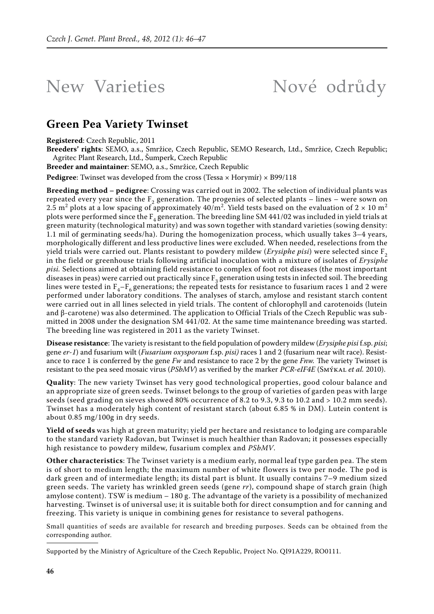## New Varieties Nové odrůdy

## **Green Pea Variety Twinset**

**Registered**: Czech Republic, 2011

**Breeders' rights**: SEMO, a.s., Smržice, Czech Republic, SEMO Research, Ltd., Smržice, Czech Republic; Agritec Plant Research, Ltd., Šumperk, Czech Republic

**Breeder and maintainer**: SEMO, a.s., Smržice, Czech Republic

**Pedigree**: Twinset was developed from the cross (Tessa × Horymír) × B99/118

**Breeding method – pedigree**: Crossing was carried out in 2002. The selection of individual plants was repeated every year since the  $F_2$  generation. The progenies of selected plants – lines – were sown on 2.5 m $^2$  plots at a low spacing of approximately 40/m $^2$ . Yield tests based on the evaluation of 2  $\times$  10 m $^2$ plots were performed since the  $F_4$  generation. The breeding line SM 441/02 was included in yield trials at green maturity (technological maturity) and was sown together with standard varieties (sowing density: 1.1 mil of germinating seeds/ha). During the homogenization process, which usually takes 3–4 years, morphologically different and less productive lines were excluded. When needed, reselections from the yield trials were carried out. Plants resistant to powdery mildew (*Erysiphe pisi*) were selected since F2 in the field or greenhouse trials following artificial inoculation with a mixture of isolates of *Erysiphe pisi.* Selections aimed at obtaining field resistance to complex of foot rot diseases (the most important diseases in peas) were carried out practically since  $F_3$  generation using tests in infected soil. The breeding lines were tested in  $F_4-F_6$  generations; the repeated tests for resistance to fusarium races 1 and 2 were performed under laboratory conditions. The analyses of starch, amylose and resistant starch content were carried out in all lines selected in yield trials. The content of chlorophyll and carotenoids (lutein and β-carotene) was also determined. The application to Official Trials of the Czech Republic was submitted in 2008 under the designation SM 441/02. At the same time maintenance breeding was started. The breeding line was registered in 2011 as the variety Twinset.

**Disease resistance**: The variety is resistant to the field population of powdery mildew (*Erysiphe pisi* f.sp. *pisi*; gene *er-1*) and fusarium wilt (*Fusarium oxysporum* f.sp. *pisi)* races 1 and 2 (fusarium near wilt race). Resistance to race 1 is conferred by the gene *Fw* and resistance to race 2 by the gene *Fnw.* The variety Twinset is resistant to the pea seed mosaic virus (*PSbMV*) as verified by the marker *PCR-eIF4E* (Smýkal *et al.* 2010).

**Quality**: The new variety Twinset has very good technological properties, good colour balance and an appropriate size of green seeds. Twinset belongs to the group of varieties of garden peas with large seeds (seed grading on sieves showed 80% occurrence of 8.2 to 9.3, 9.3 to 10.2 and > 10.2 mm seeds). Twinset has a moderately high content of resistant starch (about 6.85 % in DM). Lutein content is about 0.85 mg/100g in dry seeds.

**Yield of seeds** was high at green maturity; yield per hectare and resistance to lodging are comparable to the standard variety Radovan, but Twinset is much healthier than Radovan; it possesses especially high resistance to powdery mildew, fusarium complex and *PSbMV*.

**Other characteristics**: The Twinset variety is a medium early, normal leaf type garden pea. The stem is of short to medium length; the maximum number of white flowers is two per node. The pod is dark green and of intermediate length; its distal part is blunt. It usually contains 7–9 medium sized green seeds. The variety has wrinkled green seeds (gene *rr*), compound shape of starch grain (high amylose content). TSW is medium – 180 g. The advantage of the variety is a possibility of mechanized harvesting. Twinset is of universal use; it is suitable both for direct consumption and for canning and freezing. This variety is unique in combining genes for resistance to several pathogens.

Small quantities of seeds are available for research and breeding purposes. Seeds can be obtained from the corresponding author.

Supported by the Ministry of Agriculture of the Czech Republic, Project No. QI91A229, RO0111.